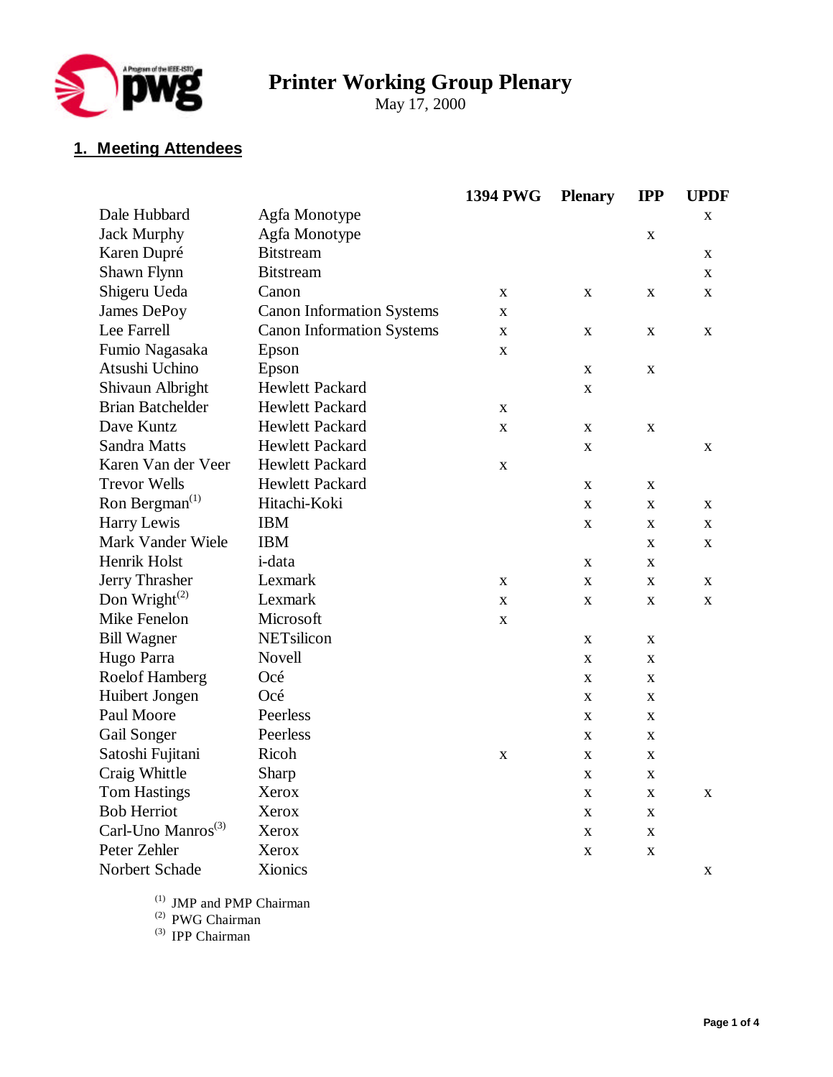

# **Printer Working Group Plenary**

May 17, 2000

# **1. Meeting Attendees**

|                                |                                  | <b>1394 PWG</b> | <b>Plenary</b> | <b>IPP</b>   | <b>UPDF</b> |
|--------------------------------|----------------------------------|-----------------|----------------|--------------|-------------|
| Dale Hubbard                   | Agfa Monotype                    |                 |                |              | X           |
| <b>Jack Murphy</b>             | Agfa Monotype                    |                 |                | $\mathbf X$  |             |
| Karen Dupré                    | <b>Bitstream</b>                 |                 |                |              | X           |
| Shawn Flynn                    | <b>Bitstream</b>                 |                 |                |              | X           |
| Shigeru Ueda                   | Canon                            | X               | X              | $\mathbf X$  | X           |
| James DePoy                    | <b>Canon Information Systems</b> | X               |                |              |             |
| Lee Farrell                    | <b>Canon Information Systems</b> | X               | $\mathbf X$    | $\mathbf X$  | X           |
| Fumio Nagasaka                 | Epson                            | $\mathbf X$     |                |              |             |
| Atsushi Uchino                 | Epson                            |                 | X              | $\mathbf X$  |             |
| Shivaun Albright               | <b>Hewlett Packard</b>           |                 | X              |              |             |
| <b>Brian Batchelder</b>        | <b>Hewlett Packard</b>           | $\mathbf X$     |                |              |             |
| Dave Kuntz                     | Hewlett Packard                  | X               | X              | $\mathbf X$  |             |
| Sandra Matts                   | <b>Hewlett Packard</b>           |                 | $\mathbf X$    |              | X           |
| Karen Van der Veer             | <b>Hewlett Packard</b>           | $\mathbf X$     |                |              |             |
| <b>Trevor Wells</b>            | <b>Hewlett Packard</b>           |                 | X              | $\mathbf X$  |             |
| Ron Bergman <sup>(1)</sup>     | Hitachi-Koki                     |                 | X              | $\mathbf X$  | X           |
| Harry Lewis                    | <b>IBM</b>                       |                 | $\mathbf X$    | $\mathbf X$  | X           |
| Mark Vander Wiele              | <b>IBM</b>                       |                 |                | $\mathbf X$  | X           |
| Henrik Holst                   | i-data                           |                 | X              | $\mathbf X$  |             |
| Jerry Thrasher                 | Lexmark                          | X               | $\mathbf X$    | $\mathbf X$  | X           |
| Don Wright $^{(2)}$            | Lexmark                          | X               | $\mathbf X$    | $\mathbf X$  | $\mathbf X$ |
| Mike Fenelon                   | Microsoft                        | $\mathbf X$     |                |              |             |
| <b>Bill Wagner</b>             | NETsilicon                       |                 | X              | $\mathbf X$  |             |
| Hugo Parra                     | Novell                           |                 | X              | $\mathbf X$  |             |
| Roelof Hamberg                 | Océ                              |                 | $\mathbf X$    | $\mathbf X$  |             |
| Huibert Jongen                 | Océ                              |                 | X              | $\mathbf{X}$ |             |
| Paul Moore                     | Peerless                         |                 | X              | $\mathbf X$  |             |
| Gail Songer                    | Peerless                         |                 | X              | $\mathbf X$  |             |
| Satoshi Fujitani               | Ricoh                            | X               | X              | X            |             |
| Craig Whittle                  | Sharp                            |                 | X              | X            |             |
| <b>Tom Hastings</b>            | Xerox                            |                 | $\mathbf X$    | $\mathbf X$  | X           |
| <b>Bob Herriot</b>             | Xerox                            |                 | $\mathbf X$    | X            |             |
| Carl-Uno Manros <sup>(3)</sup> | Xerox                            |                 | $\mathbf X$    | $\mathbf X$  |             |
| Peter Zehler                   | Xerox                            |                 | $\mathbf X$    | $\mathbf X$  |             |
| Norbert Schade                 | Xionics                          |                 |                |              | X           |

(1) JMP and PMP Chairman

(2) PWG Chairman

(3) IPP Chairman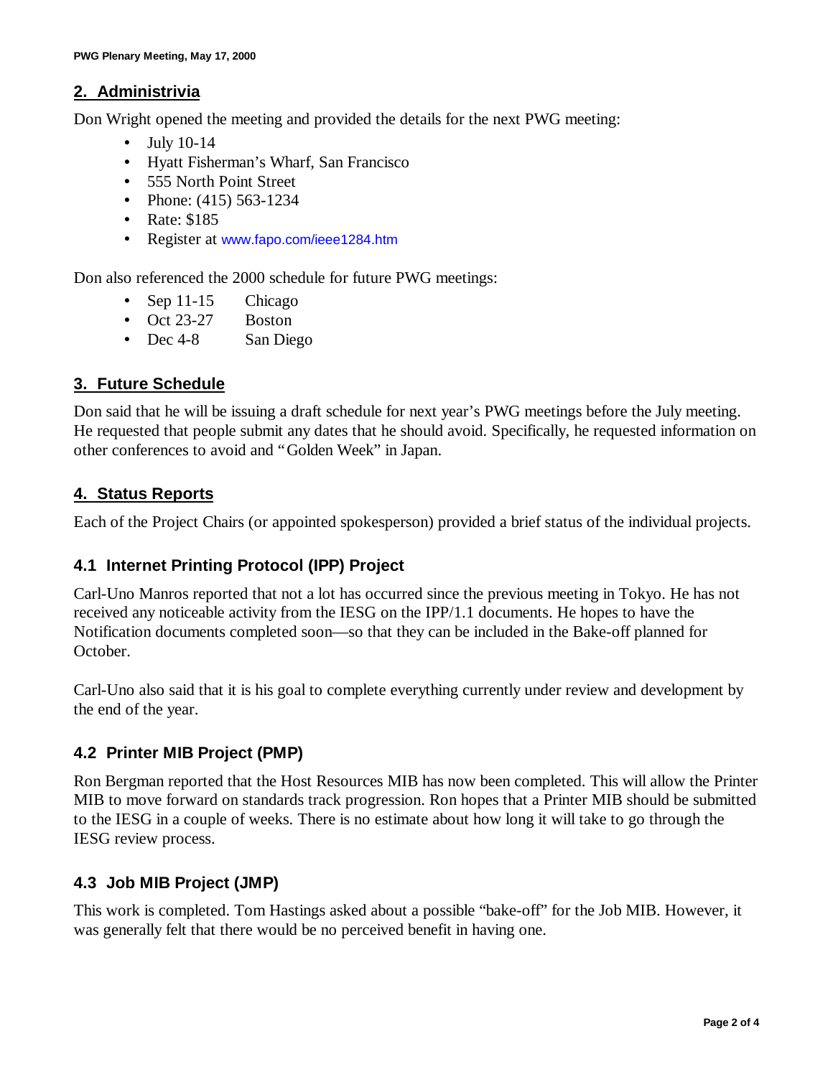#### **2. Administrivia**

Don Wright opened the meeting and provided the details for the next PWG meeting:

- July 10-14
- Hyatt Fisherman's Wharf, San Francisco
- 555 North Point Street
- Phone: (415) 563-1234
- Rate: \$185
- Register at www.fapo.com/ieee1284.htm

Don also referenced the 2000 schedule for future PWG meetings:

- Sep 11-15 Chicago
- Oct 23-27 Boston
- Dec 4-8 San Diego

# **3. Future Schedule**

Don said that he will be issuing a draft schedule for next year's PWG meetings before the July meeting. He requested that people submit any dates that he should avoid. Specifically, he requested information on other conferences to avoid and "Golden Week" in Japan.

# **4. Status Reports**

Each of the Project Chairs (or appointed spokesperson) provided a brief status of the individual projects.

# **4.1 Internet Printing Protocol (IPP) Project**

Carl-Uno Manros reported that not a lot has occurred since the previous meeting in Tokyo. He has not received any noticeable activity from the IESG on the IPP/1.1 documents. He hopes to have the Notification documents completed soon— so that they can be included in the Bake-off planned for October.

Carl-Uno also said that it is his goal to complete everything currently under review and development by the end of the year.

# **4.2 Printer MIB Project (PMP)**

Ron Bergman reported that the Host Resources MIB has now been completed. This will allow the Printer MIB to move forward on standards track progression. Ron hopes that a Printer MIB should be submitted to the IESG in a couple of weeks. There is no estimate about how long it will take to go through the IESG review process.

# **4.3 Job MIB Project (JMP)**

This work is completed. Tom Hastings asked about a possible "bake-off" for the Job MIB. However, it was generally felt that there would be no perceived benefit in having one.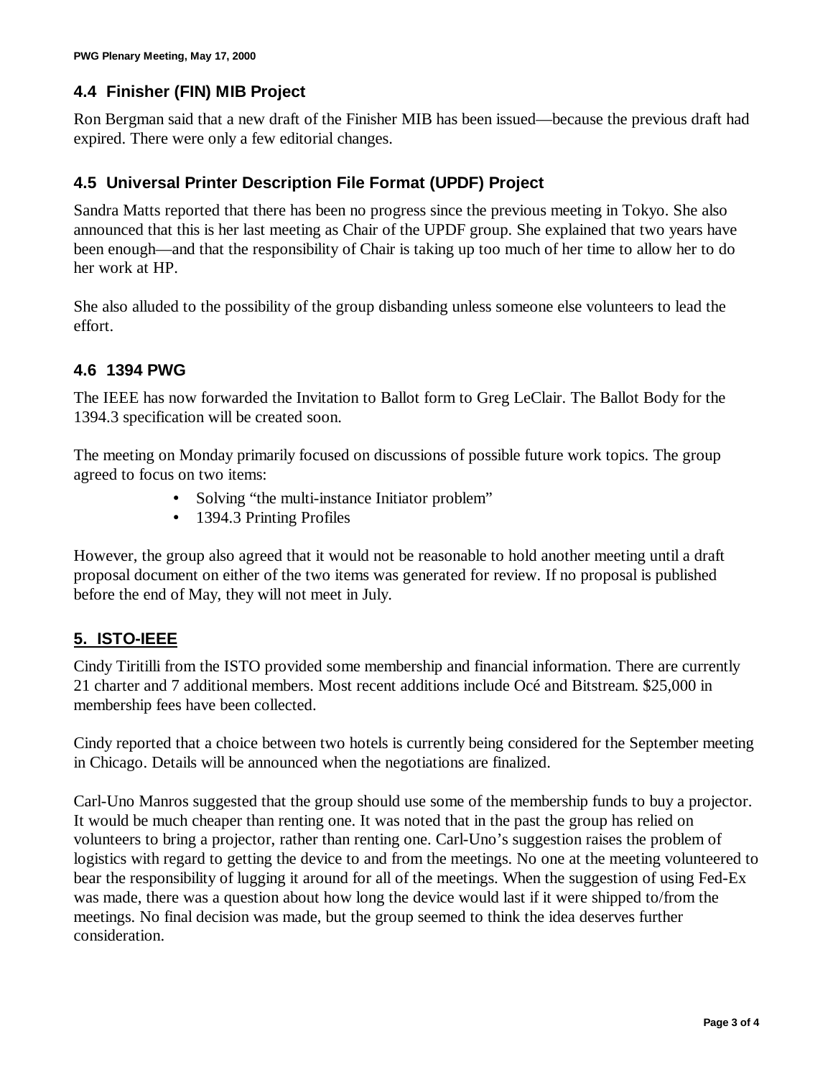#### **4.4 Finisher (FIN) MIB Project**

Ron Bergman said that a new draft of the Finisher MIB has been issued— because the previous draft had expired. There were only a few editorial changes.

#### **4.5 Universal Printer Description File Format (UPDF) Project**

Sandra Matts reported that there has been no progress since the previous meeting in Tokyo. She also announced that this is her last meeting as Chair of the UPDF group. She explained that two years have been enough— and that the responsibility of Chair is taking up too much of her time to allow her to do her work at HP.

She also alluded to the possibility of the group disbanding unless someone else volunteers to lead the effort.

#### **4.6 1394 PWG**

The IEEE has now forwarded the Invitation to Ballot form to Greg LeClair. The Ballot Body for the 1394.3 specification will be created soon.

The meeting on Monday primarily focused on discussions of possible future work topics. The group agreed to focus on two items:

- Solving "the multi-instance Initiator problem"
- 1394.3 Printing Profiles

However, the group also agreed that it would not be reasonable to hold another meeting until a draft proposal document on either of the two items was generated for review. If no proposal is published before the end of May, they will not meet in July.

# **5. ISTO-IEEE**

Cindy Tiritilli from the ISTO provided some membership and financial information. There are currently 21 charter and 7 additional members. Most recent additions include Océ and Bitstream. \$25,000 in membership fees have been collected.

Cindy reported that a choice between two hotels is currently being considered for the September meeting in Chicago. Details will be announced when the negotiations are finalized.

Carl-Uno Manros suggested that the group should use some of the membership funds to buy a projector. It would be much cheaper than renting one. It was noted that in the past the group has relied on volunteers to bring a projector, rather than renting one. Carl-Uno's suggestion raises the problem of logistics with regard to getting the device to and from the meetings. No one at the meeting volunteered to bear the responsibility of lugging it around for all of the meetings. When the suggestion of using Fed-Ex was made, there was a question about how long the device would last if it were shipped to/from the meetings. No final decision was made, but the group seemed to think the idea deserves further consideration.